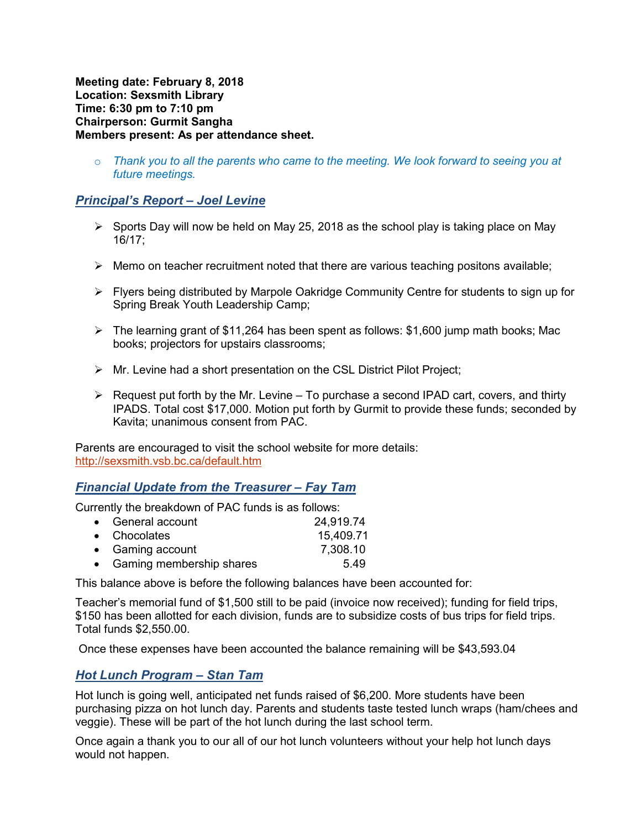**Meeting date: February 8, 2018 Location: Sexsmith Library Time: 6:30 pm to 7:10 pm Chairperson: Gurmit Sangha Members present: As per attendance sheet.** 

o *Thank you to all the parents who came to the meeting. We look forward to seeing you at future meetings.* 

# *Principal's Report – Joel Levine*

- $\triangleright$  Sports Day will now be held on May 25, 2018 as the school play is taking place on May 16/17;
- $\triangleright$  Memo on teacher recruitment noted that there are various teaching positons available;
- $\triangleright$  Flyers being distributed by Marpole Oakridge Community Centre for students to sign up for Spring Break Youth Leadership Camp;
- $\triangleright$  The learning grant of \$11,264 has been spent as follows: \$1,600 jump math books; Mac books; projectors for upstairs classrooms;
- $\triangleright$  Mr. Levine had a short presentation on the CSL District Pilot Project;
- $\triangleright$  Request put forth by the Mr. Levine To purchase a second IPAD cart, covers, and thirty IPADS. Total cost \$17,000. Motion put forth by Gurmit to provide these funds; seconded by Kavita; unanimous consent from PAC.

Parents are encouraged to visit the school website for more details: http://sexsmith.vsb.bc.ca/default.htm

### *Financial Update from the Treasurer – Fay Tam*

Currently the breakdown of PAC funds is as follows:

| • General account          | 24,919.74 |
|----------------------------|-----------|
| • Chocolates               | 15,409.71 |
| • Gaming account           | 7,308.10  |
| • Gaming membership shares | 549       |

This balance above is before the following balances have been accounted for:

Teacher's memorial fund of \$1,500 still to be paid (invoice now received); funding for field trips, \$150 has been allotted for each division, funds are to subsidize costs of bus trips for field trips. Total funds \$2,550.00.

Once these expenses have been accounted the balance remaining will be \$43,593.04

#### *Hot Lunch Program – Stan Tam*

Hot lunch is going well, anticipated net funds raised of \$6,200. More students have been purchasing pizza on hot lunch day. Parents and students taste tested lunch wraps (ham/chees and veggie). These will be part of the hot lunch during the last school term.

Once again a thank you to our all of our hot lunch volunteers without your help hot lunch days would not happen.